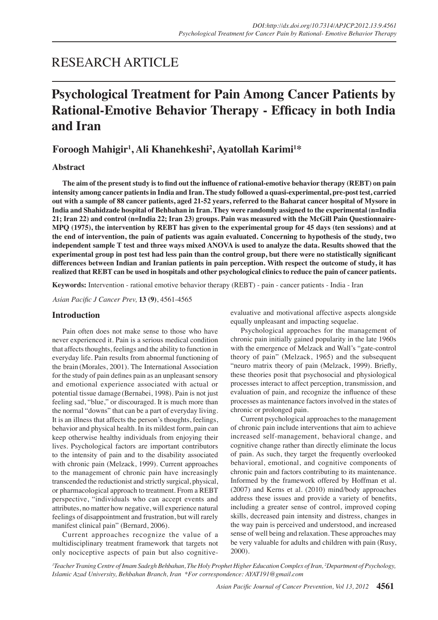# RESEARCH ARTICLE

# **Psychological Treatment for Pain Among Cancer Patients by Rational-Emotive Behavior Therapy - Efficacy in both India and Iran**

# **Foroogh Mahigir<sup>1</sup> , Ali Khanehkeshi2 , Ayatollah Karimi<sup>1</sup> \***

# **Abstract**

The aim of the present study is to find out the influence of rational-emotive behavior therapy (REBT) on pain **intensity among cancer patientsin India and Iran.The study followed a quasi-experimental, pre-post test, carried** out with a sample of 88 cancer patients, aged 21-52 years, referred to the Baharat cancer hospital of Mysore in **India and Shahidzade hospital of Behbahan in Iran. They were randomly assigned to the experimental (n=India** 21; Iran 22) and control (n=India 22; Iran 23) groups. Pain was measured with the McGill Pain Questionnaire-MPQ (1975), the intervention by REBT has given to the experimental group for 45 days (ten sessions) and at the end of intervention, the pain of patients was again evaluated. Concerning to hypothesis of the study, two independent sample T test and three ways mixed ANOVA is used to analyze the data. Results showed that the experimental group in post test had less pain than the control group, but there were no statistically significant differences between Indian and Iranian patients in pain perception. With respect the outcome of study, it has realized that REBT can be used in hospitals and other psychological clinics to reduce the pain of cancer patients.

**Keywords:** Intervention - rational emotive behavior therapy (REBT) - pain - cancer patients - India - Iran

*Asian Pacific J Cancer Prev,* **13 (9)**, 4561-4565

# **Introduction**

Pain often does not make sense to those who have never experienced it. Pain is a serious medical condition that affects thoughts, feelings and the ability to function in everyday life. Pain results from abnormal functioning of the brain (Morales, 2001). The International Association for the study of pain defines pain as an unpleasant sensory and emotional experience associated with actual or potential tissue damage (Bernabei, 1998). Pain is not just feeling sad, "blue," or discouraged. It is much more than the normal "downs" that can be a part of everyday living. It is an illness that affects the person's thoughts, feelings, behavior and physical health. In its mildest form, pain can keep otherwise healthy individuals from enjoying their lives. Psychological factors are important contributors to the intensity of pain and to the disability associated with chronic pain (Melzack, 1999). Current approaches to the management of chronic pain have increasingly transcended the reductionist and strictly surgical, physical, or pharmacological approach to treatment. From a REBT perspective, "individuals who can accept events and attributes, no matter how negative, will experience natural feelings of disappointment and frustration, but will rarely manifest clinical pain" (Bernard, 2006).

Current approaches recognize the value of a multidisciplinary treatment framework that targets not only nociceptive aspects of pain but also cognitiveevaluative and motivational affective aspects alongside equally unpleasant and impacting sequelae.

Psychological approaches for the management of chronic pain initially gained popularity in the late 1960s with the emergence of Melzack and Wall's "gate-control theory of pain" (Melzack, 1965) and the subsequent "neuro matrix theory of pain (Melzack, 1999). Briefly, these theories posit that psychosocial and physiological processes interact to affect perception, transmission, and evaluation of pain, and recognize the influence of these processes as maintenance factors involved in the states of chronic or prolonged pain.

Current psychological approaches to the management of chronic pain include interventions that aim to achieve increased self-management, behavioral change, and cognitive change rather than directly eliminate the locus of pain. As such, they target the frequently overlooked behavioral, emotional, and cognitive components of chronic pain and factors contributing to its maintenance. Informed by the framework offered by Hoffman et al. (2007) and Kerns et al. (2010) mind/body approaches address these issues and provide a variety of benefits, including a greater sense of control, improved coping skills, decreased pain intensity and distress, changes in the way pain is perceived and understood, and increased sense of well being and relaxation. These approaches may be very valuable for adults and children with pain (Rusy, 2000).

*1 Teacher Traning Centre of Imam Sadegh Behbahan, The Holy Prophet Higher Education Complex of Iran, <sup>2</sup> Department of Psychology, Islamic Azad University, Behbahan Branch, Iran \*For correspondence: AYAT191@gmail.com*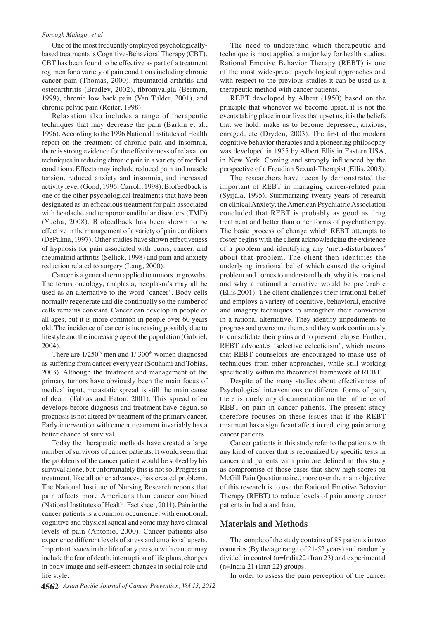#### *Foroogh Mahigir et al*

One of the most frequently employed psychologicallybased treatments is Cognitive-Behavioral Therapy (CBT). CBT has been found to be effective as part of a treatment regimen for a variety of pain conditions including chronic cancer pain (Thomas, 2000), rheumatoid arthritis and osteoarthritis (Bradley, 2002), fibromyalgia (Berman, 1999), chronic low back pain (Van Tulder, 2001), and chronic pelvic pain (Reiter, 1998).

Relaxation also includes a range of therapeutic techniques that may decrease the pain (Barkin et al., 1996). According to the 1996 National Institutes of Health report on the treatment of chronic pain and insomnia, there is strong evidence for the effectiveness of relaxation techniques in reducing chronic pain in a variety of medical conditions. Effects may include reduced pain and muscle tension, reduced anxiety and insomnia, and increased activity level (Good, 1996; Carroll, 1998). Biofeedback is one of the other psychological treatments that have been designated as an efficacious treatment for pain associated with headache and temporomandibular disorders (TMD) (Yucha, 2008). Biofeedback has been shown to be effective in the management of a variety of pain conditions (DePalma, 1997). Other studies have shown effectiveness of hypnosis for pain associated with burns, cancer, and rheumatoid arthritis (Sellick, 1998) and pain and anxiety reduction related to surgery (Lang, 2000).

Cancer is a general term applied to tumors or growths. The terms oncology, anaplasia, neoplasm's may all be used as an alternative to the word 'cancer'. Body cells normally regenerate and die continually so the number of cells remains constant. Cancer can develop in people of all ages, but it is more common in people over 60 years old. The incidence of cancer is increasing possibly due to lifestyle and the increasing age of the population (Gabriel, 2004).

There are  $1/250$ <sup>th</sup> men and  $1/300$ <sup>th</sup> women diagnosed as suffering from cancer every year (Souhami and Tobias, 2003). Although the treatment and management of the primary tumors have obviously been the main focus of medical input, metastatic spread is still the main cause of death (Tobias and Eaton, 2001). This spread often develops before diagnosis and treatment have begun, so prognosis is not altered by treatment of the primary cancer. Early intervention with cancer treatment invariably has a better chance of survival.

Today the therapeutic methods have created a large number of survivors of cancer patients. It would seem that the problems of the cancer patient would be solved by his survival alone, but unfortunately this is not so. Progress in treatment, like all other advances, has created problems. The National Institute of Nursing Research reports that pain affects more Americans than cancer combined (National Institutes of Health. Fact sheet, 2011). Pain in the cancer patients is a common occurrence; with emotional, cognitive and physical squeal and some may have clinical levels of pain (Antonio, 2000). Cancer patients also experience different levels of stress and emotional upsets. Important issues in the life of any person with cancer may include the fear of death, interruption of life plans, changes in body image and self-esteem changes in social role and life style.

The need to understand which therapeutic and technique is most applied a major key for health studies. Rational Emotive Behavior Therapy (REBT) is one of the most widespread psychological approaches and with respect to the previous studies it can be used as a therapeutic method with cancer patients.

REBT developed by Albert (1950) based on the principle that whenever we become upset, it is not the events taking place in our lives that upset us; it is the beliefs that we hold, make us to become depressed, anxious, enraged, etc (Dryden, 2003). The first of the modern cognitive behavior therapies and a pioneering philosophy was developed in 1955 by Albert Ellis in Eastern USA, in New York. Coming and strongly influenced by the perspective of a Freudian Sexual-Therapist (Ellis, 2003).

The researchers have recently demonstrated the important of REBT in managing cancer-related pain (Syrjala, 1995). Summarizing twenty years of research on clinical Anxiety, the American Psychiatric Association concluded that REBT is probably as good as drug treatment and better than other forms of psychotherapy. The basic process of change which REBT attempts to foster begins with the client acknowledging the existence of a problem and identifying any 'meta-disturbances' about that problem. The client then identifies the underlying irrational belief which caused the original problem and comes to understand both, why it is irrational and why a rational alternative would be preferable (Ellis,2001). The client challenges their irrational belief and employs a variety of cognitive, behavioral, emotive and imagery techniques to strengthen their conviction in a rational alternative. They identify impediments to progress and overcome them, and they work continuously to consolidate their gains and to prevent relapse. Further, REBT advocates 'selective eclecticism', which means that REBT counselors are encouraged to make use of techniques from other approaches, while still working specifically within the theoretical framework of REBT.

Despite of the many studies about effectiveness of Psychological interventions on different forms of pain, there is rarely any documentation on the influence of REBT on pain in cancer patients. The present study therefore focuses on these issues that if the REBT treatment has a significant affect in reducing pain among cancer patients.

Cancer patients in this study refer to the patients with any kind of cancer that is recognized by specific tests in cancer and patients with pain are defined in this study as compromise of those cases that show high scores on McGill Pain Questionnaire., more over the main objective of this research is to use the Rational Emotive Behavior Therapy (REBT) to reduce levels of pain among cancer patients in India and Iran.

### **Materials and Methods**

The sample of the study contains of 88 patients in two countries (By the age range of 21-52 years) and randomly divided in control (n=India22+Iran 23) and experimental (n=India 21+Iran 22) groups.

In order to assess the pain perception of the cancer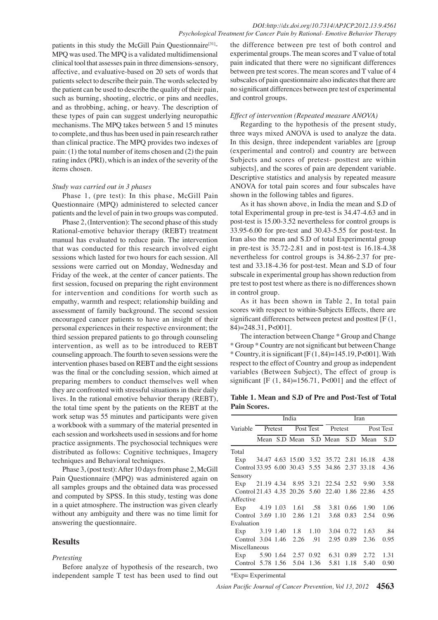patients in this study the McGill Pain Questionnaire<sup>[31]</sup>-MPQ was used. The MPQ is a validated multidimensional clinical tool that assesses pain in three dimensions-sensory, affective, and evaluative-based on 20 sets of words that patients select to describe their pain. The words selected by the patient can be used to describe the quality of their pain, such as burning, shooting, electric, or pins and needles, and as throbbing, aching, or heavy. The description of these types of pain can suggest underlying neuropathic mechanisms. The MPQ takes between 5 and 15 minutes to complete, and thus has been used in pain research rather than clinical practice. The MPQ provides two indexes of pain: (1) the total number of items chosen and (2) the pain rating index (PRI), which is an index of the severity of the items chosen.

#### *Study was carried out in 3 phases*

Phase 1, (pre test): In this phase, McGill Pain Questionnaire (MPQ) administered to selected cancer patients and the level of pain in two groups was computed.

Phase 2, (Intervention): The second phase of this study Rational-emotive behavior therapy (REBT) treatment manual has evaluated to reduce pain. The intervention that was conducted for this research involved eight sessions which lasted for two hours for each session. All sessions were carried out on Monday, Wednesday and Friday of the week, at the center of cancer patients. The first session, focused on preparing the right environment for intervention and conditions for worth such as empathy, warmth and respect; relationship building and assessment of family background. The second session encouraged cancer patients to have an insight of their personal experiences in their respective environment; the third session prepared patients to go through counseling intervention, as well as to be introduced to REBT counseling approach. The fourth to seven sessions were the intervention phases based on REBT and the eight sessions was the final or the concluding session, which aimed at preparing members to conduct themselves well when they are confronted with stressful situations in their daily lives. In the rational emotive behavior therapy (REBT), the total time spent by the patients on the REBT at the work setup was 55 minutes and participants were given a workbook with a summary of the material presented in each session and worksheets used in sessions and for home practice assignments. The psychosocial techniques were distributed as follows: Cognitive techniques, Imagery techniques and Behavioral techniques.

Phase 3, (post test): After 10 days from phase 2, McGill Pain Questionnaire (MPQ) was administered again on all samples groups and the obtained data was processed and computed by SPSS. In this study, testing was done in a quiet atmosphere. The instruction was given clearly without any ambiguity and there was no time limit for answering the questionnaire.

### **Results**

#### *Pretesting*

Before analyze of hypothesis of the research, two independent sample T test has been used to find out

the difference between pre test of both control and experimental groups. The mean scores and T value of total pain indicated that there were no significant differences between pre test scores. The mean scores and T value of 4 subscales of pain questionnaire also indicates that there are no significant differences between pre test of experimental and control groups.

#### *Effect of intervention (Repeated measure ANOVA)*

50.0 Subjects and scores of pretest- posttest are within 75.0 three ways mixed ANOVA is used to analyze the data.00.0 Regarding to the hypothesis of the present study, In this design, three independent variables are [group (experimental and control) and country are between subjects], and the scores of pain are dependent variable. Descriptive statistics and analysis by repeated measure ANOVA for total pain scores and four subscales have shown in the following tables and figures.

0 post-test is 15.00-3.52 nevertheless for control groups is 25.0 As it has shown above, in India the mean and S.D of total Experimental group in pre-test is 34.47-4.63 and in 33.95-6.00 for pre-test and 30.43-5.55 for post-test. In Iran also the mean and S.D of total Experimental group in pre-test is 35.72-2.81 and in post-test is 16.18-4.38 nevertheless for control groups is 34.86-2.37 for pretest and 33.18-4.36 for post-test. Mean and S.D of four subscale in experimental group has shown reduction from pre test to post test where as there is no differences shown in control group.

As it has been shown in Table 2, In total pain scores with respect to within-Subjects Effects, there are significant differences between pretest and posttest [F (1, 84)=248.31, P<001].

The interaction between Change \* Group and Change \* Group \* Country are not significant but between Change \* Country, it is significant  $[F(1, 84)=145.19, P<001]$ . With respect to the effect of Country and group as independent variables (Between Subject), The effect of group is significant [F  $(1, 84)$ =156.71, P<001] and the effect of

**Table 1. Mean and S.D of Pre and Post-Test of Total Pain Scores.**

|                                                      |  |  | India |  |  |  |                                              |      |              |
|------------------------------------------------------|--|--|-------|--|--|--|----------------------------------------------|------|--------------|
|                                                      |  |  |       |  |  |  | Variable Pretest Post Test Pretest Post Test |      |              |
|                                                      |  |  |       |  |  |  | Mean S.D Mean S.D Mean S.D Mean S.D          |      |              |
| Total                                                |  |  |       |  |  |  |                                              |      |              |
| Exp 34.47 4.63 15.00 3.52 35.72 2.81 16.18 4.38      |  |  |       |  |  |  |                                              |      |              |
| Control 33.95 6.00 30.43 5.55 34.86 2.37 33.18 4.36  |  |  |       |  |  |  |                                              |      |              |
| Sensory                                              |  |  |       |  |  |  |                                              |      |              |
| Exp 21.19 4.34 8.95 3.21 22.54 2.52 9.90             |  |  |       |  |  |  |                                              |      | $3.58$ 100.0 |
| Control 21.43 4.35 20.26 5.60 22.40 1.86 22.86       |  |  |       |  |  |  |                                              | 4.55 |              |
| Affective                                            |  |  |       |  |  |  |                                              |      |              |
| Exp 4.19 1.03 1.61 .58 3.81 0.66 1.90 1.06           |  |  |       |  |  |  |                                              |      |              |
| Control 3.69 1.10 2.86 1.21 3.68 0.83 2.54 0.96 75.0 |  |  |       |  |  |  |                                              |      |              |
| Evaluation                                           |  |  |       |  |  |  |                                              |      |              |
| Exp 3.19 1.40 1.8 1.10 3.04 0.72 1.63 .84            |  |  |       |  |  |  |                                              |      |              |
| Control 3.04 1.46 2.26 .91 2.95 0.89 2.36 0.95       |  |  |       |  |  |  |                                              |      |              |
| Miscellaneous                                        |  |  |       |  |  |  |                                              |      | 50.0         |
| Exp 5.90 1.64 2.57 0.92 6.31 0.89 2.72 1.31          |  |  |       |  |  |  |                                              |      |              |
| Control 5.78 1.56 5.04 1.36 5.81 1.18 5.40           |  |  |       |  |  |  |                                              | 0.90 |              |

\*Exp= Experimental

**38.0 31.3**

**46.8 56.3**

**20.3 6.3 10.1**

 $\ddot{\phantom{a}}$ 

0

**38.0 31.3**

Newly diagnosed without treatment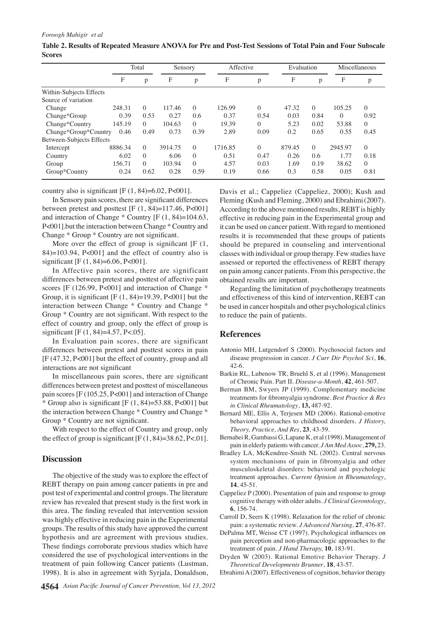|                          |         | Total    |         | Sensory  |         | Affective |        | Evaluation |          | Miscellaneous |  |
|--------------------------|---------|----------|---------|----------|---------|-----------|--------|------------|----------|---------------|--|
|                          | F       | p        | F       | p        | F       | p         | F      | p          | F        | p             |  |
| Within-Subjects Effects  |         |          |         |          |         |           |        |            |          |               |  |
| Source of variation      |         |          |         |          |         |           |        |            |          |               |  |
| Change                   | 248.31  | $\Omega$ | 117.46  | $\Omega$ | 126.99  | $\theta$  | 47.32  | $\Omega$   | 105.25   | $\Omega$      |  |
| Change*Group             | 0.39    | 0.53     | 0.27    | 0.6      | 0.37    | 0.54      | 0.03   | 0.84       | $\Omega$ | 0.92          |  |
| Change*Country           | 145.19  | $\Omega$ | 104.63  | $\Omega$ | 19.39   | $\theta$  | 5.23   | 0.02       | 53.88    | $\Omega$      |  |
| Change*Group*Country     | 0.46    | 0.49     | 0.73    | 0.39     | 2.89    | 0.09      | 0.2    | 0.65       | 0.55     | 0.45          |  |
| Between-Subjects Effects |         |          |         |          |         |           |        |            |          |               |  |
| Intercept                | 8886.34 | $\Omega$ | 3914.75 | $\Omega$ | 1716.85 | $\theta$  | 879.45 | $\Omega$   | 2945.97  | $\Omega$      |  |
| Country                  | 6.02    | $\Omega$ | 6.06    | $\Omega$ | 0.51    | 0.47      | 0.26   | 0.6        | 1.77     | 0.18          |  |
| Group                    | 156.71  | $\Omega$ | 103.94  | $\Omega$ | 4.57    | 0.03      | 1.69   | 0.19       | 38.62    | $\Omega$      |  |
| Group*Country            | 0.24    | 0.62     | 0.28    | 0.59     | 0.19    | 0.66      | 0.3    | 0.58       | 0.05     | 0.81          |  |

Table 2. Results of Repeated Measure ANOVA for Pre and Post-Test Sessions of Total Pain and Four Subscale **Scores**

country also is significant  $[F(1, 84)=6.02, P<0.01]$ .

In Sensory pain scores, there are significant differences between pretest and posttest  $[F(1, 84)=117.46, P<001]$ and interaction of Change \* Country [F (1, 84)=104.63, P<001].but the interaction between Change \* Country and Change \* Group \* Country are not significant.

More over the effect of group is significant  $[F(1,$ 84)=103.94, P<001] and the effect of country also is significant [F (1, 84)=6.06, P<001].

In Affective pain scores, there are significant differences between pretest and posttest of affective pain scores [F (126.99, P<001] and interaction of Change \* Group, it is significant  $[F(1, 84)=19.39, P<001]$  but the interaction between Change \* Country and Change \* Group \* Country are not significant. With respect to the effect of country and group, only the effect of group is significant [F  $(1, 84) = 4.57$ , P<.05].

In Evaluation pain scores, there are significant differences between pretest and posttest scores in pain [F (47.32, P<001] but the effect of country, group and all interactions are not significant

In miscellaneous pain scores, there are significant differences between pretest and posttest of miscellaneous pain scores [F (105.25, P<001] and interaction of Change \* Group also is significant  $[F(1, 84)=53.88, P<0.01]$  but the interaction between Change \* Country and Change \* Group \* Country are not significant.

With respect to the effect of Country and group, only the effect of group is significant  $[F(1, 84)=38.62, P<.01]$ .

# **Discussion**

The objective of the study was to explore the effect of REBT therapy on pain among cancer patients in pre and post test of experimental and control groups. The literature review has revealed that present study is the first work in this area. The finding revealed that intervention session was highly effective in reducing pain in the Experimental groups. The results of this study have approved the current hypothesis and are agreement with previous studies. These findings corroborate previous studies which have considered the use of psychological interventions in the treatment of pain following Cancer patients (Lustman, 1998). It is also in agreement with Syrjala, Donaldson, Davis et al.; Cappeliez (Cappeliez, 2000); Kush and Fleming (Kush and Fleming, 2000) and Ebrahimi(2007). According to the above mentioned results, REBT is highly effective in reducing pain in the Experimental group and it can be used on cancer patient. With regard to mentioned results it is recommended that these groups of patients should be prepared in counseling and interventional classes with individual or group therapy. Few studies have assessed or reported the effectiveness of REBT therapy on pain among cancer patients. From this perspective, the obtained results are important.

Regarding the limitation of psychotherapy treatments and effectiveness of this kind of intervention, REBT can be used in cancer hospitals and other psychological clinics to reduce the pain of patients.

## **References**

- Antonio MH, Lutgendorf S (2000). Psychosocial factors and disease progression in cancer. *J Curr Dir Psychol Sci*, **16**, 42-6.
- Barkin RL, Lubenow TR, Bruehl S, et al (1996). Management of Chronic Pain. Part II. *Disease-a-Month*, **42**, 461-507.
- Berman BM, Swyers JP (1999). Complementary medicine treatments for fibromyalgia syndrome. *Best Practice & Res in Clinical Rheumatology*, **13,** 487-92.
- Bernard ME, Ellis A, Terjesen MD (2006). Rational-emotive behavioral approaches to childhood disorders. *J History, Theory, Practice, And Res*, **23**, 43-59.
- Bernabei R, Gambassi G, Lapane K, et al (1998). Management of pain in elderly patients with cancer. *J Am Med Assoc*, **279,** 23.
- Bradley LA, McKendree-Smith NL (2002). Central nervous system mechanisms of pain in fibromyalgia and other musculoskeletal disorders: behavioral and psychologic treatment approaches. *Current Opinion in Rheumatology*, **14**, 45-51.
- Cappeliez P (2000). Presentation of pain and response to group cognitive therapy with older adults. *J Clinical Gerontology*, **6**, 156-74.
- Carroll D, Seers K (1998). Relaxation for the relief of chronic pain: a systematic review. *J Advanced Nursing,* **27**, 476-87.
- DePalma MT, Weisse CT (1997). Psychological influences on pain perception and non-pharmacologic approaches to the treatment of pain. *J Hand Therapy,* **10**, 183-91.
- Dryden W (2003). Rational Emotive Behavior Therapy. *J Theoretical Developments Brunner*, **18**, 43-57.
- Ebrahimi A (2007). Effectiveness of cognition, behavior therapy